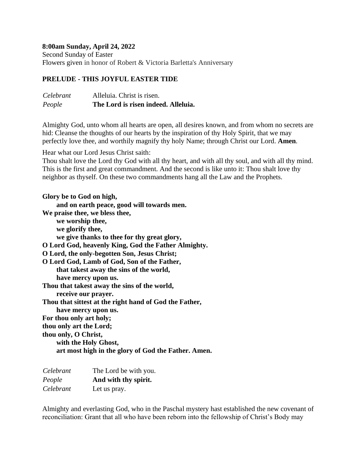### **8:00am Sunday, April 24, 2022**

Second Sunday of Easter Flowers given in honor of Robert & Victoria Barletta's Anniversary

# **PRELUDE - THIS JOYFUL EASTER TIDE**

*Celebrant* Alleluia. Christ is risen. *People* **The Lord is risen indeed. Alleluia.**

Almighty God, unto whom all hearts are open, all desires known, and from whom no secrets are hid: Cleanse the thoughts of our hearts by the inspiration of thy Holy Spirit, that we may perfectly love thee, and worthily magnify thy holy Name; through Christ our Lord. **Amen***.*

Hear what our Lord Jesus Christ saith:

Thou shalt love the Lord thy God with all thy heart, and with all thy soul, and with all thy mind. This is the first and great commandment. And the second is like unto it: Thou shalt love thy neighbor as thyself. On these two commandments hang all the Law and the Prophets.

**Glory be to God on high, and on earth peace, good will towards men. We praise thee, we bless thee, we worship thee, we glorify thee, we give thanks to thee for thy great glory, O Lord God, heavenly King, God the Father Almighty. O Lord, the only-begotten Son, Jesus Christ; O Lord God, Lamb of God, Son of the Father, that takest away the sins of the world, have mercy upon us. Thou that takest away the sins of the world, receive our prayer. Thou that sittest at the right hand of God the Father, have mercy upon us. For thou only art holy; thou only art the Lord; thou only, O Christ, with the Holy Ghost, art most high in the glory of God the Father. Amen.**

| Celebrant | The Lord be with you. |
|-----------|-----------------------|
| People    | And with thy spirit.  |
| Celebrant | Let us pray.          |

Almighty and everlasting God, who in the Paschal mystery hast established the new covenant of reconciliation: Grant that all who have been reborn into the fellowship of Christ's Body may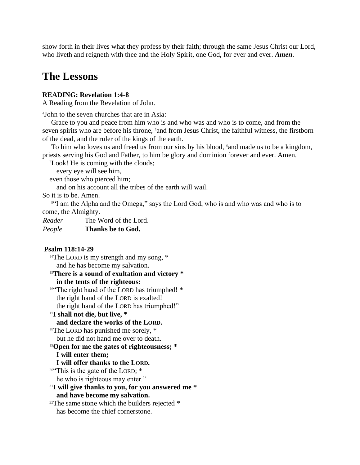show forth in their lives what they profess by their faith; through the same Jesus Christ our Lord, who liveth and reigneth with thee and the Holy Spirit, one God, for ever and ever. *Amen*.

# **The Lessons**

#### **READING: Revelation 1:4-8**

A Reading from the Revelation of John.

<sup>4</sup>John to the seven churches that are in Asia:

Grace to you and peace from him who is and who was and who is to come, and from the seven spirits who are before his throne,  $5$  and from Jesus Christ, the faithful witness, the firstborn of the dead, and the ruler of the kings of the earth.

To him who loves us and freed us from our sins by his blood,  $6$  and made us to be a kingdom, priests serving his God and Father, to him be glory and dominion forever and ever. Amen.

<sup>7</sup>Look! He is coming with the clouds;

every eye will see him,

even those who pierced him;

and on his account all the tribes of the earth will wail.

So it is to be. Amen.

<sup>84</sup>I am the Alpha and the Omega," says the Lord God, who is and who was and who is to come, the Almighty.

*Reader* The Word of the Lord.

*People* **Thanks be to God.**

#### **Psalm 118:14-29**

 $14$ The LORD is my strength and my song,  $*$ and he has become my salvation.

**<sup>15</sup>There is a sound of exultation and victory \* in the tents of the righteous:**

16"The right hand of the LORD has triumphed! \* the right hand of the LORD is exalted! the right hand of the LORD has triumphed!"

**<sup>17</sup>I shall not die, but live, \***

#### **and declare the works of the LORD.**

 $18$ The LORD has punished me sorely,  $*$ but he did not hand me over to death.

#### **<sup>19</sup>Open for me the gates of righteousness; \***

#### **I will enter them;**

#### **I will offer thanks to the LORD.**

<sup>20"</sup>This is the gate of the LORD;  $*$ 

he who is righteous may enter."

#### **<sup>21</sup>I will give thanks to you, for you answered me \* and have become my salvation.**

<sup>22</sup>The same stone which the builders rejected  $*$ has become the chief cornerstone.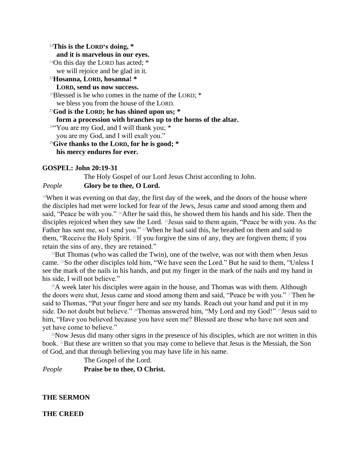# **<sup>23</sup>This is the LORD's doing, \***

#### **and it is marvelous in our eyes.**

 $24$ On this day the LORD has acted;  $*$ 

we will rejoice and be glad in it.

# **<sup>25</sup>Hosanna, LORD, hosanna! \***

**LORD, send us now success.**

<sup>26</sup>Blessed is he who comes in the name of the LORD;  $*$ we bless you from the house of the LORD.

**<sup>27</sup>God is the LORD; he has shined upon us; \***

**form a procession with branches up to the horns of the altar.**

<sup>28"</sup>You are my God, and I will thank you; \*

you are my God, and I will exalt you."

**<sup>29</sup>Give thanks to the LORD, for he is good; \* his mercy endures for ever.**

# **GOSPEL: John 20:19-31**

The Holy Gospel of our Lord Jesus Christ according to John.

# *People* **Glory be to thee, O Lord.**

<sup>19</sup>When it was evening on that day, the first day of the week, and the doors of the house where the disciples had met were locked for fear of the Jews, Jesus came and stood among them and said, "Peace be with you." <sup>20</sup>After he said this, he showed them his hands and his side. Then the disciples rejoiced when they saw the Lord. 21Jesus said to them again, "Peace be with you. As the Father has sent me, so I send you." <sup>22</sup>When he had said this, he breathed on them and said to them, "Receive the Holy Spirit. 23If you forgive the sins of any, they are forgiven them; if you retain the sins of any, they are retained."

 $24$ But Thomas (who was called the Twin), one of the twelve, was not with them when Jesus came. 25So the other disciples told him, "We have seen the Lord." But he said to them, "Unless I see the mark of the nails in his hands, and put my finger in the mark of the nails and my hand in his side, I will not believe."

 $26A$  week later his disciples were again in the house, and Thomas was with them. Although the doors were shut, Jesus came and stood among them and said, "Peace be with you." 27Then he said to Thomas, "Put your finger here and see my hands. Reach out your hand and put it in my side. Do not doubt but believe." <sup>28</sup>Thomas answered him, "My Lord and my God!" <sup>29</sup>Jesus said to him, "Have you believed because you have seen me? Blessed are those who have not seen and yet have come to believe."

<sup>30</sup>Now Jesus did many other signs in the presence of his disciples, which are not written in this book. 31But these are written so that you may come to believe that Jesus is the Messiah, the Son of God, and that through believing you may have life in his name.

The Gospel of the Lord.

#### *People* **Praise be to thee, O Christ.**

# **THE SERMON**

#### **THE CREED**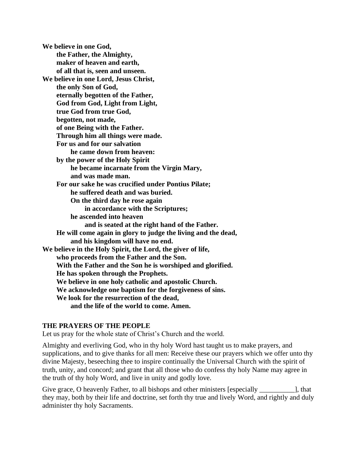**We believe in one God, the Father, the Almighty, maker of heaven and earth, of all that is, seen and unseen. We believe in one Lord, Jesus Christ, the only Son of God, eternally begotten of the Father, God from God, Light from Light, true God from true God, begotten, not made, of one Being with the Father. Through him all things were made. For us and for our salvation he came down from heaven: by the power of the Holy Spirit he became incarnate from the Virgin Mary, and was made man. For our sake he was crucified under Pontius Pilate; he suffered death and was buried. On the third day he rose again in accordance with the Scriptures; he ascended into heaven and is seated at the right hand of the Father. He will come again in glory to judge the living and the dead, and his kingdom will have no end. We believe in the Holy Spirit, the Lord, the giver of life, who proceeds from the Father and the Son. With the Father and the Son he is worshiped and glorified. He has spoken through the Prophets. We believe in one holy catholic and apostolic Church. We acknowledge one baptism for the forgiveness of sins. We look for the resurrection of the dead, and the life of the world to come. Amen.**

#### **THE PRAYERS OF THE PEOPLE**

Let us pray for the whole state of Christ's Church and the world.

Almighty and everliving God, who in thy holy Word hast taught us to make prayers, and supplications, and to give thanks for all men: Receive these our prayers which we offer unto thy divine Majesty, beseeching thee to inspire continually the Universal Church with the spirit of truth, unity, and concord; and grant that all those who do confess thy holy Name may agree in the truth of thy holy Word, and live in unity and godly love.

Give grace, O heavenly Father, to all bishops and other ministers [especially \_\_\_\_\_\_\_\_\_\_\_\_\_], that they may, both by their life and doctrine, set forth thy true and lively Word, and rightly and duly administer thy holy Sacraments.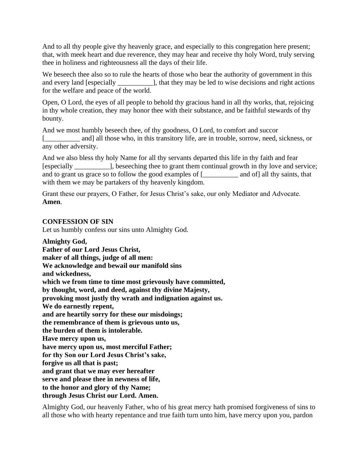And to all thy people give thy heavenly grace, and especially to this congregation here present; that, with meek heart and due reverence, they may hear and receive thy holy Word, truly serving thee in holiness and righteousness all the days of their life.

We beseech thee also so to rule the hearts of those who bear the authority of government in this and every land [especially \_\_\_\_\_\_\_\_\_\_], that they may be led to wise decisions and right actions for the welfare and peace of the world.

Open, O Lord, the eyes of all people to behold thy gracious hand in all thy works, that, rejoicing in thy whole creation, they may honor thee with their substance, and be faithful stewards of thy bounty.

And we most humbly beseech thee, of thy goodness, O Lord, to comfort and succor [\_\_\_\_\_\_\_\_ and] all those who, in this transitory life, are in trouble, sorrow, need, sickness, or any other adversity.

And we also bless thy holy Name for all thy servants departed this life in thy faith and fear [especially \_\_\_\_\_\_\_\_\_\_], beseeching thee to grant them continual growth in thy love and service; and to grant us grace so to follow the good examples of [\_\_\_\_\_\_\_\_\_\_\_\_\_ and of] all thy saints, that with them we may be partakers of thy heavenly kingdom.

Grant these our prayers, O Father, for Jesus Christ's sake, our only Mediator and Advocate. **Amen***.*

# **CONFESSION OF SIN**

Let us humbly confess our sins unto Almighty God.

**Almighty God, Father of our Lord Jesus Christ, maker of all things, judge of all men: We acknowledge and bewail our manifold sins and wickedness, which we from time to time most grievously have committed, by thought, word, and deed, against thy divine Majesty, provoking most justly thy wrath and indignation against us. We do earnestly repent, and are heartily sorry for these our misdoings; the remembrance of them is grievous unto us, the burden of them is intolerable. Have mercy upon us, have mercy upon us, most merciful Father; for thy Son our Lord Jesus Christ's sake, forgive us all that is past; and grant that we may ever hereafter serve and please thee in newness of life, to the honor and glory of thy Name; through Jesus Christ our Lord. Amen.**

Almighty God, our heavenly Father, who of his great mercy hath promised forgiveness of sins to all those who with hearty repentance and true faith turn unto him, have mercy upon you, pardon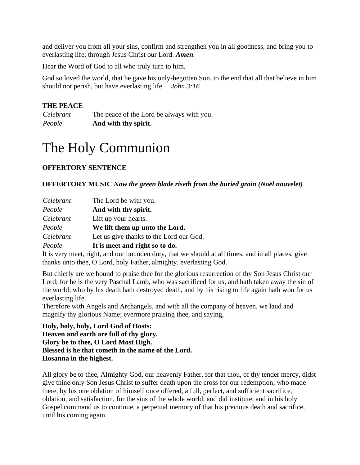and deliver you from all your sins, confirm and strengthen you in all goodness, and bring you to everlasting life; through Jesus Christ our Lord. *Amen.*

Hear the Word of God to all who truly turn to him.

God so loved the world, that he gave his only-begotten Son, to the end that all that believe in him should not perish, but have everlasting life. *John 3:16*

# **THE PEACE**

| People    | And with thy spirit.                      |
|-----------|-------------------------------------------|
| Celebrant | The peace of the Lord be always with you. |

# The Holy Communion

# **OFFERTORY SENTENCE**

**OFFERTORY MUSIC** *Now the green blade riseth from the buried grain (Noël nouvelet)*

| Celebrant | The Lord be with you.                   |
|-----------|-----------------------------------------|
| People    | And with thy spirit.                    |
| Celebrant | Lift up your hearts.                    |
| People    | We lift them up unto the Lord.          |
| Celebrant | Let us give thanks to the Lord our God. |
| People    | It is meet and right so to do.          |
|           |                                         |

It is very meet, right, and our bounden duty, that we should at all times, and in all places, give thanks unto thee, O Lord, holy Father, almighty, everlasting God.

But chiefly are we bound to praise thee for the glorious resurrection of thy Son Jesus Christ our Lord; for he is the very Paschal Lamb, who was sacrificed for us, and hath taken away the sin of the world; who by his death hath destroyed death, and by his rising to life again hath won for us everlasting life.

Therefore with Angels and Archangels, and with all the company of heaven, we laud and magnify thy glorious Name; evermore praising thee, and saying,

**Holy, holy, holy, Lord God of Hosts: Heaven and earth are full of thy glory. Glory be to thee, O Lord Most High. Blessed is he that cometh in the name of the Lord. Hosanna in the highest.**

All glory be to thee, Almighty God, our heavenly Father, for that thou, of thy tender mercy, didst give thine only Son Jesus Christ to suffer death upon the cross for our redemption; who made there, by his one oblation of himself once offered, a full, perfect, and sufficient sacrifice, oblation, and satisfaction, for the sins of the whole world; and did institute, and in his holy Gospel command us to continue, a perpetual memory of that his precious death and sacrifice, until his coming again.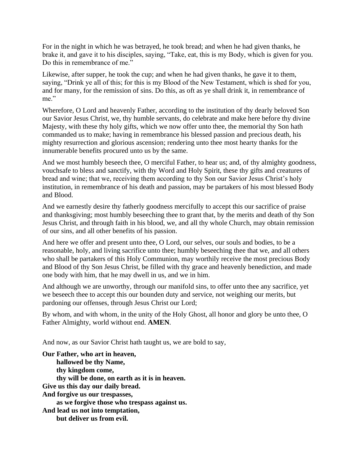For in the night in which he was betrayed, he took bread; and when he had given thanks, he brake it, and gave it to his disciples, saying, "Take, eat, this is my Body, which is given for you. Do this in remembrance of me."

Likewise, after supper, he took the cup; and when he had given thanks, he gave it to them, saying, "Drink ye all of this; for this is my Blood of the New Testament, which is shed for you, and for many, for the remission of sins. Do this, as oft as ye shall drink it, in remembrance of me."

Wherefore, O Lord and heavenly Father, according to the institution of thy dearly beloved Son our Savior Jesus Christ, we, thy humble servants, do celebrate and make here before thy divine Majesty, with these thy holy gifts, which we now offer unto thee, the memorial thy Son hath commanded us to make; having in remembrance his blessed passion and precious death, his mighty resurrection and glorious ascension; rendering unto thee most hearty thanks for the innumerable benefits procured unto us by the same.

And we most humbly beseech thee, O merciful Father, to hear us; and, of thy almighty goodness, vouchsafe to bless and sanctify, with thy Word and Holy Spirit, these thy gifts and creatures of bread and wine; that we, receiving them according to thy Son our Savior Jesus Christ's holy institution, in remembrance of his death and passion, may be partakers of his most blessed Body and Blood.

And we earnestly desire thy fatherly goodness mercifully to accept this our sacrifice of praise and thanksgiving; most humbly beseeching thee to grant that, by the merits and death of thy Son Jesus Christ, and through faith in his blood, we, and all thy whole Church, may obtain remission of our sins, and all other benefits of his passion.

And here we offer and present unto thee, O Lord, our selves, our souls and bodies, to be a reasonable, holy, and living sacrifice unto thee; humbly beseeching thee that we, and all others who shall be partakers of this Holy Communion, may worthily receive the most precious Body and Blood of thy Son Jesus Christ, be filled with thy grace and heavenly benediction, and made one body with him, that he may dwell in us, and we in him.

And although we are unworthy, through our manifold sins, to offer unto thee any sacrifice, yet we beseech thee to accept this our bounden duty and service, not weighing our merits, but pardoning our offenses, through Jesus Christ our Lord;

By whom, and with whom, in the unity of the Holy Ghost, all honor and glory be unto thee, O Father Almighty, world without end. **AMEN***.*

And now, as our Savior Christ hath taught us, we are bold to say,

**Our Father, who art in heaven, hallowed be thy Name, thy kingdom come, thy will be done, on earth as it is in heaven. Give us this day our daily bread. And forgive us our trespasses, as we forgive those who trespass against us. And lead us not into temptation, but deliver us from evil.**